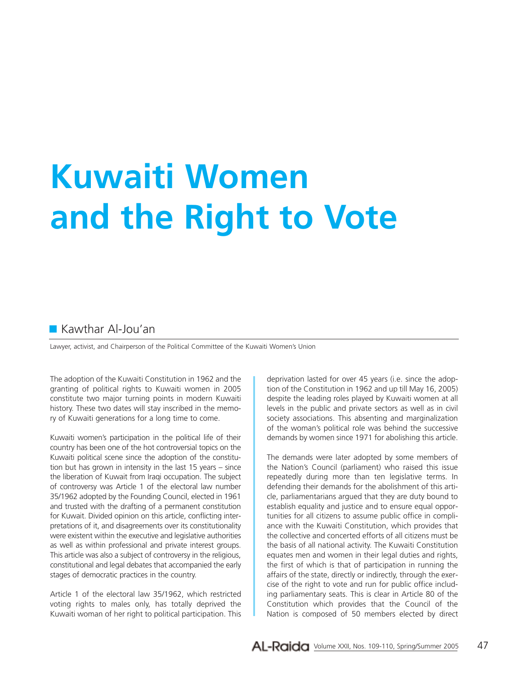# **Kuwaiti Women and the Right to Vote**

# **Kawthar Al-Jou'an**

Lawyer, activist, and Chairperson of the Political Committee of the Kuwaiti Women's Union

The adoption of the Kuwaiti Constitution in 1962 and the granting of political rights to Kuwaiti women in 2005 constitute two major turning points in modern Kuwaiti history. These two dates will stay inscribed in the memory of Kuwaiti generations for a long time to come.

Kuwaiti women's participation in the political life of their country has been one of the hot controversial topics on the Kuwaiti political scene since the adoption of the constitution but has grown in intensity in the last 15 years – since the liberation of Kuwait from Iraqi occupation. The subject of controversy was Article 1 of the electoral law number 35/1962 adopted by the Founding Council, elected in 1961 and trusted with the drafting of a permanent constitution for Kuwait. Divided opinion on this article, conflicting interpretations of it, and disagreements over its constitutionality were existent within the executive and legislative authorities as well as within professional and private interest groups. This article was also a subject of controversy in the religious, constitutional and legal debates that accompanied the early stages of democratic practices in the country.

Article 1 of the electoral law 35/1962, which restricted voting rights to males only, has totally deprived the Kuwaiti woman of her right to political participation. This deprivation lasted for over 45 years (i.e. since the adoption of the Constitution in 1962 and up till May 16, 2005) despite the leading roles played by Kuwaiti women at all levels in the public and private sectors as well as in civil society associations. This absenting and marginalization of the woman's political role was behind the successive demands by women since 1971 for abolishing this article.

The demands were later adopted by some members of the Nation's Council (parliament) who raised this issue repeatedly during more than ten legislative terms. In defending their demands for the abolishment of this article, parliamentarians argued that they are duty bound to establish equality and justice and to ensure equal opportunities for all citizens to assume public office in compliance with the Kuwaiti Constitution, which provides that the collective and concerted efforts of all citizens must be the basis of all national activity. The Kuwaiti Constitution equates men and women in their legal duties and rights, the first of which is that of participation in running the affairs of the state, directly or indirectly, through the exercise of the right to vote and run for public office including parliamentary seats. This is clear in Article 80 of the Constitution which provides that the Council of the Nation is composed of 50 members elected by direct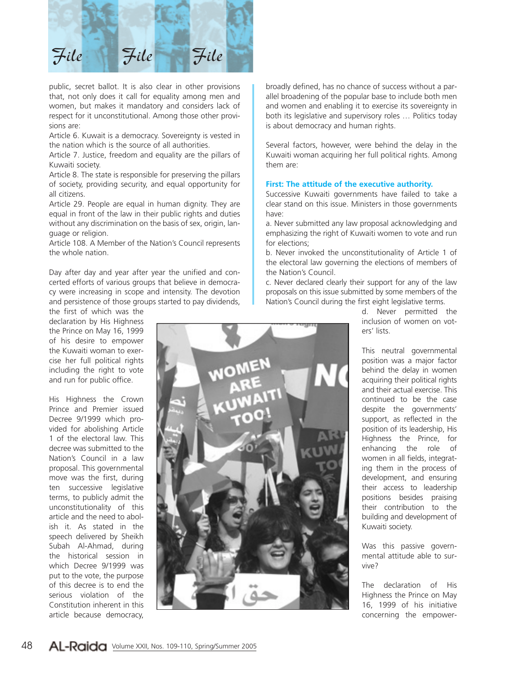

public, secret ballot. It is also clear in other provisions that, not only does it call for equality among men and women, but makes it mandatory and considers lack of respect for it unconstitutional. Among those other provisions are:

Article 6. Kuwait is a democracy. Sovereignty is vested in the nation which is the source of all authorities.

Article 7. Justice, freedom and equality are the pillars of Kuwaiti society.

Article 8. The state is responsible for preserving the pillars of society, providing security, and equal opportunity for all citizens.

Article 29. People are equal in human dignity. They are equal in front of the law in their public rights and duties without any discrimination on the basis of sex, origin, language or religion.

Article 108. A Member of the Nation's Council represents the whole nation.

Day after day and year after year the unified and concerted efforts of various groups that believe in democracy were increasing in scope and intensity. The devotion and persistence of those groups started to pay dividends,

the first of which was the declaration by His Highness the Prince on May 16, 1999 of his desire to empower the Kuwaiti woman to exercise her full political rights including the right to vote and run for public office.

His Highness the Crown Prince and Premier issued Decree 9/1999 which provided for abolishing Article 1 of the electoral law. This decree was submitted to the Nation's Council in a law proposal. This governmental move was the first, during ten successive legislative terms, to publicly admit the unconstitutionality of this article and the need to abolish it. As stated in the speech delivered by Sheikh Subah Al-Ahmad, during the historical session in which Decree 9/1999 was put to the vote, the purpose of this decree is to end the serious violation of the Constitution inherent in this article because democracy,

broadly defined, has no chance of success without a parallel broadening of the popular base to include both men and women and enabling it to exercise its sovereignty in both its legislative and supervisory roles … Politics today is about democracy and human rights.

Several factors, however, were behind the delay in the Kuwaiti woman acquiring her full political rights. Among them are:

#### **First: The attitude of the executive authority.**

Successive Kuwaiti governments have failed to take a clear stand on this issue. Ministers in those governments have:

a. Never submitted any law proposal acknowledging and emphasizing the right of Kuwaiti women to vote and run for elections;

b. Never invoked the unconstitutionality of Article 1 of the electoral law governing the elections of members of the Nation's Council.

c. Never declared clearly their support for any of the law proposals on this issue submitted by some members of the Nation's Council during the first eight legislative terms.

> d. Never permitted the inclusion of women on voters' lists.

This neutral governmental position was a major factor behind the delay in women acquiring their political rights and their actual exercise. This continued to be the case despite the governments' support, as reflected in the position of its leadership, His Highness the Prince, for enhancing the role of women in all fields, integrating them in the process of development, and ensuring their access to leadership positions besides praising their contribution to the building and development of Kuwaiti society.

Was this passive governmental attitude able to survive?

The declaration of His Highness the Prince on May 16, 1999 of his initiative concerning the empower-

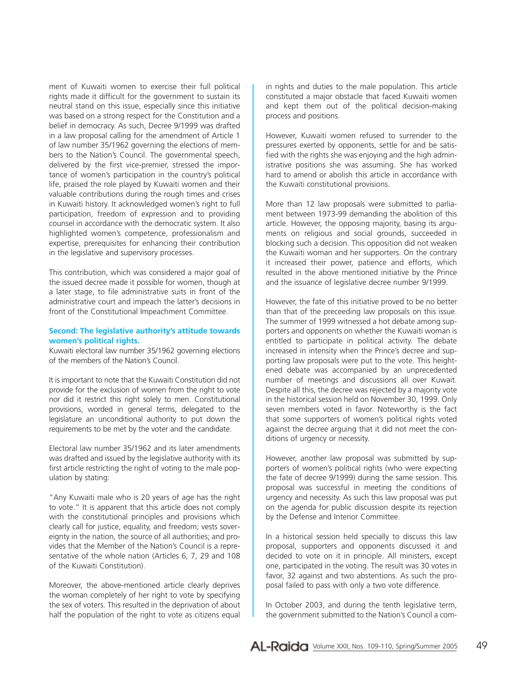ment of Kuwaiti women to exercise their full political rights made it difficult for the government to sustain its neutral stand on this issue, especially since this initiative was based on a strong respect for the Constitution and a belief in democracy. As such, Decree 9/1999 was drafted in a law proposal calling for the amendment of Article 1 of law number 35/1962 governing the elections of members to the Nation's Council. The governmental speech, delivered by the first vice-premier, stressed the importance of women's participation in the country's political life, praised the role played by Kuwaiti women and their valuable contributions during the rough times and crises in Kuwaiti history. It acknowledged women's right to full participation, freedom of expression and to providing counsel in accordance with the democratic system. It also highlighted women's competence, professionalism and expertise, prerequisites for enhancing their contribution in the legislative and supervisory processes.

This contribution, which was considered a major goal of the issued decree made it possible for women, though at a later stage, to file administrative suits in front of the administrative court and impeach the latter's decisions in front of the Constitutional Impeachment Committee.

## **Second: The legislative authority's attitude towards women's political rights.**

Kuwaiti electoral law number 35/1962 governing elections of the members of the Nation's Council.

It is important to note that the Kuwaiti Constitution did not provide for the exclusion of women from the right to vote nor did it restrict this right solely to men. Constitutional provisions, worded in general terms, delegated to the legislature an unconditional authority to put down the requirements to be met by the voter and the candidate.

Electoral law number 35/1962 and its later amendments was drafted and issued by the legislative authority with its first article restricting the right of voting to the male population by stating:

"Any Kuwaiti male who is 20 years of age has the right to vote." It is apparent that this article does not comply with the constitutional principles and provisions which clearly call for justice, equality, and freedom; vests sovereignty in the nation, the source of all authorities; and provides that the Member of the Nation's Council is a representative of the whole nation (Articles 6, 7, 29 and 108 of the Kuwaiti Constitution).

Moreover, the above-mentioned article clearly deprives the woman completely of her right to vote by specifying the sex of voters. This resulted in the deprivation of about half the population of the right to vote as citizens equal

in rights and duties to the male population. This article constituted a major obstacle that faced Kuwaiti women and kept them out of the political decision-making process and positions.

However, Kuwaiti women refused to surrender to the pressures exerted by opponents, settle for and be satisfied with the rights she was enjoying and the high administrative positions she was assuming. She has worked hard to amend or abolish this article in accordance with the Kuwaiti constitutional provisions.

More than 12 law proposals were submitted to parliament between 1973-99 demanding the abolition of this article. However, the opposing majority, basing its arguments on religious and social grounds, succeeded in blocking such a decision. This opposition did not weaken the Kuwaiti woman and her supporters. On the contrary it increased their power, patience and efforts, which resulted in the above mentioned initiative by the Prince and the issuance of legislative decree number 9/1999.

However, the fate of this initiative proved to be no better than that of the preceeding law proposals on this issue. The summer of 1999 witnessed a hot debate among supporters and opponents on whether the Kuwaiti woman is entitled to participate in political activity. The debate increased in intensity when the Prince's decree and supporting law proposals were put to the vote. This heightened debate was accompanied by an unprecedented number of meetings and discussions all over Kuwait. Despite all this, the decree was rejected by a majority vote in the historical session held on November 30, 1999. Only seven members voted in favor. Noteworthy is the fact that some supporters of women's political rights voted against the decree arguing that it did not meet the conditions of urgency or necessity.

However, another law proposal was submitted by supporters of women's political rights (who were expecting the fate of decree 9/1999) during the same session. This proposal was successful in meeting the conditions of urgency and necessity. As such this law proposal was put on the agenda for public discussion despite its rejection by the Defense and Interior Committee.

In a historical session held specially to discuss this law proposal, supporters and opponents discussed it and decided to vote on it in principle. All ministers, except one, participated in the voting. The result was 30 votes in favor, 32 against and two abstentions. As such the proposal failed to pass with only a two vote difference.

In October 2003, and during the tenth legislative term, the government submitted to the Nation's Council a com-